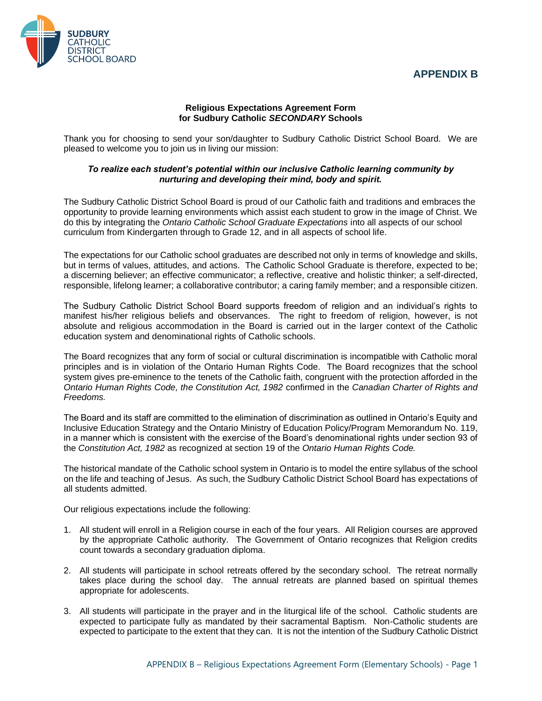## **APPENDIX B**



## **Religious Expectations Agreement Form for Sudbury Catholic** *SECONDARY* **Schools**

Thank you for choosing to send your son/daughter to Sudbury Catholic District School Board. We are pleased to welcome you to join us in living our mission:

## *To realize each student's potential within our inclusive Catholic learning community by nurturing and developing their mind, body and spirit.*

The Sudbury Catholic District School Board is proud of our Catholic faith and traditions and embraces the opportunity to provide learning environments which assist each student to grow in the image of Christ. We do this by integrating the *Ontario Catholic School Graduate Expectations* into all aspects of our school curriculum from Kindergarten through to Grade 12, and in all aspects of school life.

The expectations for our Catholic school graduates are described not only in terms of knowledge and skills, but in terms of values, attitudes, and actions. The Catholic School Graduate is therefore, expected to be; a discerning believer; an effective communicator; a reflective, creative and holistic thinker; a self-directed, responsible, lifelong learner; a collaborative contributor; a caring family member; and a responsible citizen.

The Sudbury Catholic District School Board supports freedom of religion and an individual's rights to manifest his/her religious beliefs and observances. The right to freedom of religion, however, is not absolute and religious accommodation in the Board is carried out in the larger context of the Catholic education system and denominational rights of Catholic schools.

The Board recognizes that any form of social or cultural discrimination is incompatible with Catholic moral principles and is in violation of the Ontario Human Rights Code. The Board recognizes that the school system gives pre-eminence to the tenets of the Catholic faith, congruent with the protection afforded in the *Ontario Human Rights Code, the Constitution Act, 1982* confirmed in the *Canadian Charter of Rights and Freedoms.*

The Board and its staff are committed to the elimination of discrimination as outlined in Ontario's Equity and Inclusive Education Strategy and the Ontario Ministry of Education Policy/Program Memorandum No. 119, in a manner which is consistent with the exercise of the Board's denominational rights under section 93 of the *Constitution Act, 1982* as recognized at section 19 of the *Ontario Human Rights Code.*

The historical mandate of the Catholic school system in Ontario is to model the entire syllabus of the school on the life and teaching of Jesus. As such, the Sudbury Catholic District School Board has expectations of all students admitted.

Our religious expectations include the following:

- 1. All student will enroll in a Religion course in each of the four years. All Religion courses are approved by the appropriate Catholic authority. The Government of Ontario recognizes that Religion credits count towards a secondary graduation diploma.
- 2. All students will participate in school retreats offered by the secondary school. The retreat normally takes place during the school day. The annual retreats are planned based on spiritual themes appropriate for adolescents.
- 3. All students will participate in the prayer and in the liturgical life of the school. Catholic students are expected to participate fully as mandated by their sacramental Baptism. Non-Catholic students are expected to participate to the extent that they can. It is not the intention of the Sudbury Catholic District